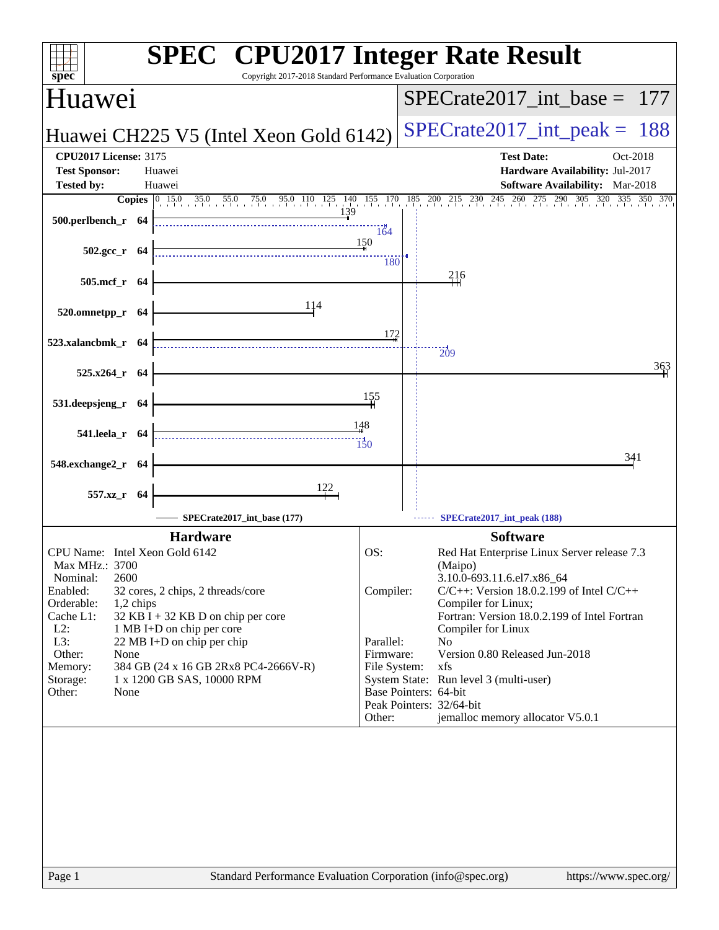| Copyright 2017-2018 Standard Performance Evaluation Corporation<br>spec <sup>®</sup>                                                                                                                                                                                                                                                                                                                                                  |                                                                      |                                                                                                                                                                                                            | <b>SPEC<sup>®</sup></b> CPU2017 Integer Rate Result                                                                                                                                                                                   |         |
|---------------------------------------------------------------------------------------------------------------------------------------------------------------------------------------------------------------------------------------------------------------------------------------------------------------------------------------------------------------------------------------------------------------------------------------|----------------------------------------------------------------------|------------------------------------------------------------------------------------------------------------------------------------------------------------------------------------------------------------|---------------------------------------------------------------------------------------------------------------------------------------------------------------------------------------------------------------------------------------|---------|
| Huawei                                                                                                                                                                                                                                                                                                                                                                                                                                |                                                                      |                                                                                                                                                                                                            | $SPECTate2017\_int\_base = 177$                                                                                                                                                                                                       |         |
| Huawei CH225 V5 (Intel Xeon Gold 6142)                                                                                                                                                                                                                                                                                                                                                                                                |                                                                      |                                                                                                                                                                                                            | $SPECrate2017\_int\_peak = 188$                                                                                                                                                                                                       |         |
| <b>CPU2017 License: 3175</b><br><b>Test Sponsor:</b><br>Huawei<br><b>Tested by:</b><br>Huawei                                                                                                                                                                                                                                                                                                                                         |                                                                      |                                                                                                                                                                                                            | <b>Test Date:</b><br>Oct-2018<br>Hardware Availability: Jul-2017<br><b>Software Availability:</b> Mar-2018                                                                                                                            |         |
| <b>Copies</b> $\begin{bmatrix} 0 & 15.0 & 35.0 & 55.0 & 75.0 & 95.0 & 110 & 125 & 140 & 155 & 170 & 185 & 200 & 215 & 230 & 245 & 260 & 275 & 290 & 305 & 320 & 335 \end{bmatrix}$                                                                                                                                                                                                                                                    |                                                                      |                                                                                                                                                                                                            |                                                                                                                                                                                                                                       | 350 370 |
| 139<br>500.perlbench_r 64                                                                                                                                                                                                                                                                                                                                                                                                             | 164<br>150                                                           |                                                                                                                                                                                                            |                                                                                                                                                                                                                                       |         |
| $502.\text{gcc r}$ 64                                                                                                                                                                                                                                                                                                                                                                                                                 | 180                                                                  |                                                                                                                                                                                                            |                                                                                                                                                                                                                                       |         |
| 505.mcf_r 64                                                                                                                                                                                                                                                                                                                                                                                                                          |                                                                      | 216                                                                                                                                                                                                        |                                                                                                                                                                                                                                       |         |
| 114<br>520.omnetpp_r 64                                                                                                                                                                                                                                                                                                                                                                                                               |                                                                      |                                                                                                                                                                                                            |                                                                                                                                                                                                                                       |         |
| 523.xalancbmk_r 64                                                                                                                                                                                                                                                                                                                                                                                                                    | 172                                                                  | $\frac{1}{209}$                                                                                                                                                                                            |                                                                                                                                                                                                                                       |         |
| 525.x264 r 64                                                                                                                                                                                                                                                                                                                                                                                                                         |                                                                      |                                                                                                                                                                                                            |                                                                                                                                                                                                                                       | 363     |
| 531.deepsjeng_r 64                                                                                                                                                                                                                                                                                                                                                                                                                    | 155                                                                  |                                                                                                                                                                                                            |                                                                                                                                                                                                                                       |         |
| 541.leela_r 64                                                                                                                                                                                                                                                                                                                                                                                                                        | 148<br>150                                                           |                                                                                                                                                                                                            |                                                                                                                                                                                                                                       |         |
| 548.exchange2_r 64                                                                                                                                                                                                                                                                                                                                                                                                                    |                                                                      |                                                                                                                                                                                                            | 341                                                                                                                                                                                                                                   |         |
| $\frac{122}{1}$<br>557.xz_r 64                                                                                                                                                                                                                                                                                                                                                                                                        |                                                                      |                                                                                                                                                                                                            |                                                                                                                                                                                                                                       |         |
| SPECrate2017_int_base (177)                                                                                                                                                                                                                                                                                                                                                                                                           |                                                                      | SPECrate2017_int_peak (188)                                                                                                                                                                                |                                                                                                                                                                                                                                       |         |
| <b>Hardware</b><br>CPU Name: Intel Xeon Gold 6142<br>Max MHz.: 3700<br>2600<br>Nominal:<br>Enabled:<br>32 cores, 2 chips, 2 threads/core<br>Orderable:<br>1,2 chips<br>Cache L1:<br>$32$ KB I + 32 KB D on chip per core<br>$L2$ :<br>1 MB I+D on chip per core<br>L3:<br>22 MB I+D on chip per chip<br>Other:<br>None<br>384 GB (24 x 16 GB 2Rx8 PC4-2666V-R)<br>Memory:<br>Storage:<br>1 x 1200 GB SAS, 10000 RPM<br>Other:<br>None | OS:<br>Compiler:<br>Parallel:<br>Firmware:<br>File System:<br>Other: | (Maipo)<br>3.10.0-693.11.6.el7.x86_64<br>Compiler for Linux;<br>Compiler for Linux<br>N <sub>0</sub><br>xfs<br>System State: Run level 3 (multi-user)<br>Base Pointers: 64-bit<br>Peak Pointers: 32/64-bit | <b>Software</b><br>Red Hat Enterprise Linux Server release 7.3<br>$C/C++$ : Version 18.0.2.199 of Intel $C/C++$<br>Fortran: Version 18.0.2.199 of Intel Fortran<br>Version 0.80 Released Jun-2018<br>jemalloc memory allocator V5.0.1 |         |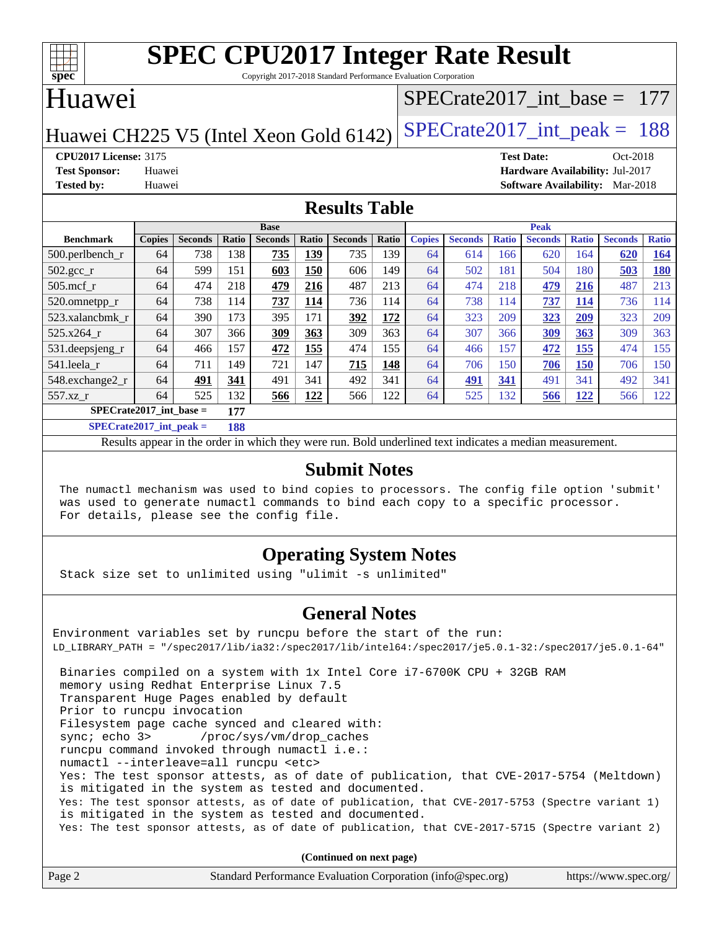

Copyright 2017-2018 Standard Performance Evaluation Corporation

### Huawei

#### [SPECrate2017\\_int\\_base =](http://www.spec.org/auto/cpu2017/Docs/result-fields.html#SPECrate2017intbase) 177

Huawei CH225 V5 (Intel Xeon Gold  $6142$ ) [SPECrate2017\\_int\\_peak =](http://www.spec.org/auto/cpu2017/Docs/result-fields.html#SPECrate2017intpeak) 188

**[CPU2017 License:](http://www.spec.org/auto/cpu2017/Docs/result-fields.html#CPU2017License)** 3175 **[Test Date:](http://www.spec.org/auto/cpu2017/Docs/result-fields.html#TestDate)** Oct-2018 **[Test Sponsor:](http://www.spec.org/auto/cpu2017/Docs/result-fields.html#TestSponsor)** Huawei **[Hardware Availability:](http://www.spec.org/auto/cpu2017/Docs/result-fields.html#HardwareAvailability)** Jul-2017 **[Tested by:](http://www.spec.org/auto/cpu2017/Docs/result-fields.html#Testedby)** Huawei **[Software Availability:](http://www.spec.org/auto/cpu2017/Docs/result-fields.html#SoftwareAvailability)** Mar-2018

#### **[Results Table](http://www.spec.org/auto/cpu2017/Docs/result-fields.html#ResultsTable)**

| <b>Base</b>                      |               |                |       |                | <b>Peak</b> |                |       |               |                |              |                |              |                |              |
|----------------------------------|---------------|----------------|-------|----------------|-------------|----------------|-------|---------------|----------------|--------------|----------------|--------------|----------------|--------------|
| <b>Benchmark</b>                 | <b>Copies</b> | <b>Seconds</b> | Ratio | <b>Seconds</b> | Ratio       | <b>Seconds</b> | Ratio | <b>Copies</b> | <b>Seconds</b> | <b>Ratio</b> | <b>Seconds</b> | <b>Ratio</b> | <b>Seconds</b> | <b>Ratio</b> |
| $500.$ perlbench_r               | 64            | 738            | 138   | 735            | 139         | 735            | 139   | 64            | 614            | 166          | 620            | 164          | 620            | 164          |
| $502.\text{gcc}$ <sub>r</sub>    | 64            | 599            | 151   | 603            | 150         | 606            | 149   | 64            | 502            | 181          | 504            | 180          | 503            | <b>180</b>   |
| $505$ .mcf r                     | 64            | 474            | 218   | 479            | 216         | 487            | 213   | 64            | 474            | 218          | 479            | 216          | 487            | 213          |
| 520.omnetpp_r                    | 64            | 738            | 114   | 737            | 114         | 736            | 114   | 64            | 738            | 114          | 737            | 114          | 736            | 114          |
| 523.xalancbmk r                  | 64            | 390            | 173   | 395            | 171         | 392            | 172   | 64            | 323            | 209          | 323            | 209          | 323            | 209          |
| 525.x264 r                       | 64            | 307            | 366   | 309            | 363         | 309            | 363   | 64            | 307            | 366          | 309            | <b>363</b>   | 309            | 363          |
| 531.deepsjeng_r                  | 64            | 466            | 157   | 472            | 155         | 474            | 155   | 64            | 466            | 157          | 472            | <u> 155</u>  | 474            | 155          |
| 541.leela r                      | 64            | 711            | 149   | 721            | 147         | 715            | 148   | 64            | 706            | 150          | 706            | <b>150</b>   | 706            | 150          |
| 548.exchange2_r                  | 64            | 491            | 341   | 491            | 341         | 492            | 341   | 64            | 491            | 341          | 491            | 341          | 492            | 341          |
| 557.xz r                         | 64            | 525            | 132   | 566            | 122         | 566            | 122   | 64            | 525            | 132          | 566            | <u> 122</u>  | 566            | 122          |
| $SPECrate2017$ int base =<br>177 |               |                |       |                |             |                |       |               |                |              |                |              |                |              |
| $CDFCrot02017$ int nook –        |               |                | 100   |                |             |                |       |               |                |              |                |              |                |              |

**[SPECrate2017\\_int\\_peak =](http://www.spec.org/auto/cpu2017/Docs/result-fields.html#SPECrate2017intpeak) 188** Results appear in the [order in which they were run](http://www.spec.org/auto/cpu2017/Docs/result-fields.html#RunOrder). Bold underlined text [indicates a median measurement](http://www.spec.org/auto/cpu2017/Docs/result-fields.html#Median).

#### **[Submit Notes](http://www.spec.org/auto/cpu2017/Docs/result-fields.html#SubmitNotes)**

 The numactl mechanism was used to bind copies to processors. The config file option 'submit' was used to generate numactl commands to bind each copy to a specific processor. For details, please see the config file.

#### **[Operating System Notes](http://www.spec.org/auto/cpu2017/Docs/result-fields.html#OperatingSystemNotes)**

Stack size set to unlimited using "ulimit -s unlimited"

#### **[General Notes](http://www.spec.org/auto/cpu2017/Docs/result-fields.html#GeneralNotes)**

Environment variables set by runcpu before the start of the run: LD\_LIBRARY\_PATH = "/spec2017/lib/ia32:/spec2017/lib/intel64:/spec2017/je5.0.1-32:/spec2017/je5.0.1-64" Binaries compiled on a system with 1x Intel Core i7-6700K CPU + 32GB RAM memory using Redhat Enterprise Linux 7.5 Transparent Huge Pages enabled by default Prior to runcpu invocation Filesystem page cache synced and cleared with: sync; echo 3> /proc/sys/vm/drop\_caches runcpu command invoked through numactl i.e.: numactl --interleave=all runcpu <etc> Yes: The test sponsor attests, as of date of publication, that CVE-2017-5754 (Meltdown) is mitigated in the system as tested and documented. Yes: The test sponsor attests, as of date of publication, that CVE-2017-5753 (Spectre variant 1) is mitigated in the system as tested and documented. Yes: The test sponsor attests, as of date of publication, that CVE-2017-5715 (Spectre variant 2)

**(Continued on next page)**

| Page 2<br>Standard Performance Evaluation Corporation (info@spec.org)<br>https://www.spec.org/ |
|------------------------------------------------------------------------------------------------|
|------------------------------------------------------------------------------------------------|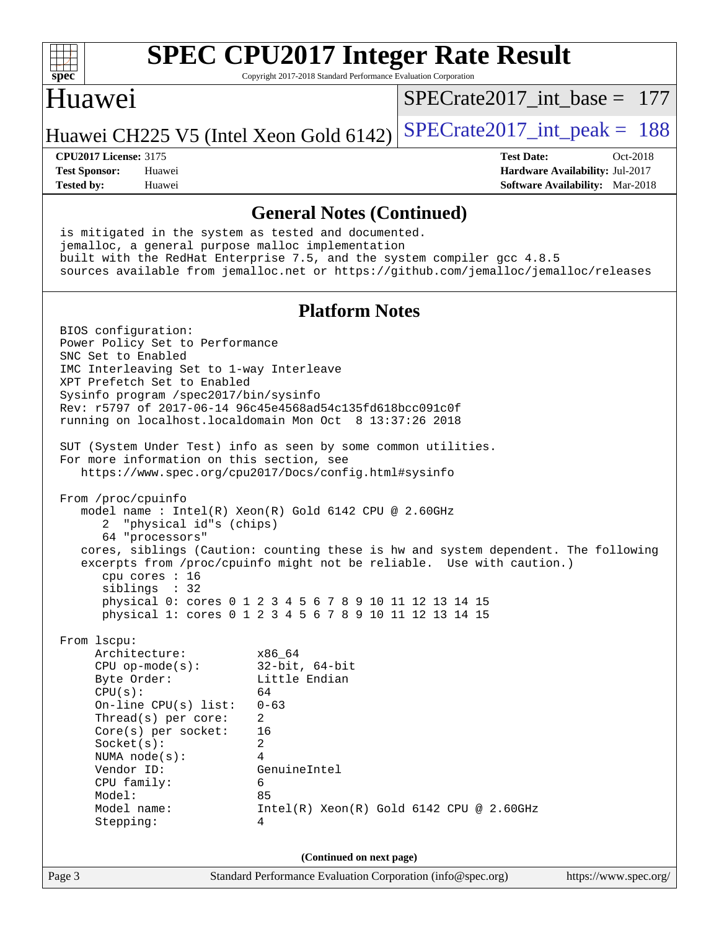

Copyright 2017-2018 Standard Performance Evaluation Corporation

#### Huawei

[SPECrate2017\\_int\\_base =](http://www.spec.org/auto/cpu2017/Docs/result-fields.html#SPECrate2017intbase) 177

Huawei CH225 V5 (Intel Xeon Gold  $6142$ ) [SPECrate2017\\_int\\_peak =](http://www.spec.org/auto/cpu2017/Docs/result-fields.html#SPECrate2017intpeak) 188

**[Tested by:](http://www.spec.org/auto/cpu2017/Docs/result-fields.html#Testedby)** Huawei **[Software Availability:](http://www.spec.org/auto/cpu2017/Docs/result-fields.html#SoftwareAvailability)** Mar-2018

**[CPU2017 License:](http://www.spec.org/auto/cpu2017/Docs/result-fields.html#CPU2017License)** 3175 **[Test Date:](http://www.spec.org/auto/cpu2017/Docs/result-fields.html#TestDate)** Oct-2018 **[Test Sponsor:](http://www.spec.org/auto/cpu2017/Docs/result-fields.html#TestSponsor)** Huawei **[Hardware Availability:](http://www.spec.org/auto/cpu2017/Docs/result-fields.html#HardwareAvailability)** Jul-2017

#### **[General Notes \(Continued\)](http://www.spec.org/auto/cpu2017/Docs/result-fields.html#GeneralNotes)**

 is mitigated in the system as tested and documented. jemalloc, a general purpose malloc implementation built with the RedHat Enterprise 7.5, and the system compiler gcc 4.8.5 sources available from jemalloc.net or <https://github.com/jemalloc/jemalloc/releases> **[Platform Notes](http://www.spec.org/auto/cpu2017/Docs/result-fields.html#PlatformNotes)** BIOS configuration: Power Policy Set to Performance SNC Set to Enabled IMC Interleaving Set to 1-way Interleave XPT Prefetch Set to Enabled Sysinfo program /spec2017/bin/sysinfo Rev: r5797 of 2017-06-14 96c45e4568ad54c135fd618bcc091c0f running on localhost.localdomain Mon Oct 8 13:37:26 2018 SUT (System Under Test) info as seen by some common utilities. For more information on this section, see <https://www.spec.org/cpu2017/Docs/config.html#sysinfo> From /proc/cpuinfo model name : Intel(R) Xeon(R) Gold 6142 CPU @ 2.60GHz 2 "physical id"s (chips) 64 "processors" cores, siblings (Caution: counting these is hw and system dependent. The following excerpts from /proc/cpuinfo might not be reliable. Use with caution.) cpu cores : 16 siblings : 32 physical 0: cores 0 1 2 3 4 5 6 7 8 9 10 11 12 13 14 15 physical 1: cores 0 1 2 3 4 5 6 7 8 9 10 11 12 13 14 15 From lscpu: Architecture: x86\_64 CPU op-mode(s): 32-bit, 64-bit<br>Byte Order: Little Endian Little Endian  $CPU(s):$  64 On-line CPU(s) list: 0-63 Thread(s) per core: 2 Core(s) per socket: 16 Socket(s): 2 NUMA node(s): 4 Vendor ID: GenuineIntel CPU family: 6 Model: 85 Model name: Intel(R) Xeon(R) Gold 6142 CPU @ 2.60GHz Stepping: 4 **(Continued on next page)**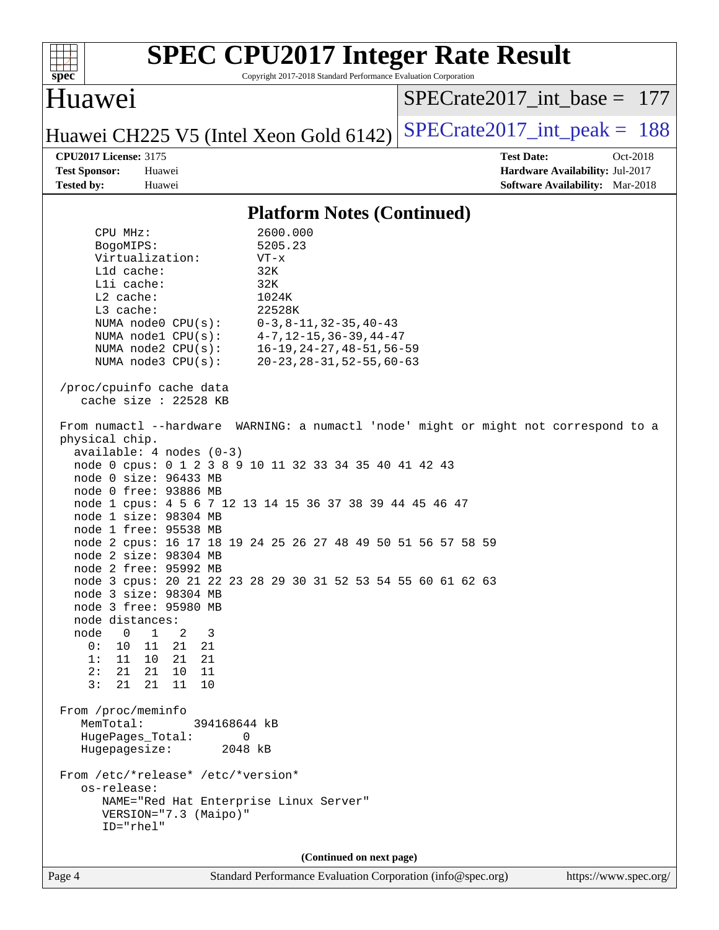| Huawei<br>$SPECrate2017\_int\_base = 177$<br>$SPECrate2017\_int\_peak = 188$<br>Huawei CH225 V5 (Intel Xeon Gold 6142)<br><b>CPU2017 License: 3175</b><br><b>Test Date:</b><br>Oct-2018<br><b>Test Sponsor:</b><br>Hardware Availability: Jul-2017<br>Huawei<br><b>Tested by:</b><br>Huawei<br><b>Software Availability:</b> Mar-2018<br><b>Platform Notes (Continued)</b><br>2600.000<br>CPU MHz:<br>5205.23<br>BogoMIPS:<br>Virtualization:<br>$VT - x$<br>Lld cache:<br>32K<br>Lli cache:<br>32K<br>L2 cache:<br>1024K<br>L3 cache:<br>22528K<br>NUMA node0 CPU(s):<br>$0-3, 8-11, 32-35, 40-43$<br>NUMA $node1$ $CPU(s):$<br>$4 - 7$ , $12 - 15$ , $36 - 39$ , $44 - 47$<br>$16 - 19, 24 - 27, 48 - 51, 56 - 59$<br>NUMA $node2$ $CPU(s)$ :<br>$20 - 23, 28 - 31, 52 - 55, 60 - 63$<br>NUMA node3 CPU(s):<br>/proc/cpuinfo cache data<br>cache size : $22528$ KB<br>From numactl --hardware WARNING: a numactl 'node' might or might not correspond to a<br>physical chip.<br>$available: 4 nodes (0-3)$<br>node 0 cpus: 0 1 2 3 8 9 10 11 32 33 34 35 40 41 42 43<br>node 0 size: 96433 MB<br>node 0 free: 93886 MB<br>node 1 cpus: 4 5 6 7 12 13 14 15 36 37 38 39 44 45 46 47<br>node 1 size: 98304 MB<br>node 1 free: 95538 MB<br>node 2 cpus: 16 17 18 19 24 25 26 27 48 49 50 51 56 57 58 59<br>node 2 size: 98304 MB<br>node 2 free: 95992 MB<br>node 3 cpus: 20 21 22 23 28 29 30 31 52 53 54 55 60 61 62 63<br>node 3 size: 98304 MB<br>node 3 free: 95980 MB<br>node distances:<br>node<br>$\mathbf 0$<br>$\mathbf{1}$<br>3<br>2<br>21<br>0 :<br>10<br>11<br>21<br>1:<br>11<br>10<br>21<br>21<br>2:<br>21<br>21<br>10<br>- 11<br>3:<br>21<br>21<br>11<br>10<br>From /proc/meminfo<br>MemTotal:<br>394168644 kB<br>HugePages_Total:<br>0<br>Hugepagesize:<br>2048 kB<br>From /etc/*release* /etc/*version*<br>os-release:<br>NAME="Red Hat Enterprise Linux Server"<br>VERSION="7.3 (Maipo)"<br>ID="rhel"<br>(Continued on next page)<br>Standard Performance Evaluation Corporation (info@spec.org) | <b>SPEC CPU2017 Integer Rate Result</b><br>Copyright 2017-2018 Standard Performance Evaluation Corporation<br>spec <sup>®</sup> |                       |
|-------------------------------------------------------------------------------------------------------------------------------------------------------------------------------------------------------------------------------------------------------------------------------------------------------------------------------------------------------------------------------------------------------------------------------------------------------------------------------------------------------------------------------------------------------------------------------------------------------------------------------------------------------------------------------------------------------------------------------------------------------------------------------------------------------------------------------------------------------------------------------------------------------------------------------------------------------------------------------------------------------------------------------------------------------------------------------------------------------------------------------------------------------------------------------------------------------------------------------------------------------------------------------------------------------------------------------------------------------------------------------------------------------------------------------------------------------------------------------------------------------------------------------------------------------------------------------------------------------------------------------------------------------------------------------------------------------------------------------------------------------------------------------------------------------------------------------------------------------------------------------------------------------------------------------------------------------------------------------------------------------------------|---------------------------------------------------------------------------------------------------------------------------------|-----------------------|
|                                                                                                                                                                                                                                                                                                                                                                                                                                                                                                                                                                                                                                                                                                                                                                                                                                                                                                                                                                                                                                                                                                                                                                                                                                                                                                                                                                                                                                                                                                                                                                                                                                                                                                                                                                                                                                                                                                                                                                                                                   |                                                                                                                                 |                       |
|                                                                                                                                                                                                                                                                                                                                                                                                                                                                                                                                                                                                                                                                                                                                                                                                                                                                                                                                                                                                                                                                                                                                                                                                                                                                                                                                                                                                                                                                                                                                                                                                                                                                                                                                                                                                                                                                                                                                                                                                                   |                                                                                                                                 |                       |
|                                                                                                                                                                                                                                                                                                                                                                                                                                                                                                                                                                                                                                                                                                                                                                                                                                                                                                                                                                                                                                                                                                                                                                                                                                                                                                                                                                                                                                                                                                                                                                                                                                                                                                                                                                                                                                                                                                                                                                                                                   |                                                                                                                                 |                       |
|                                                                                                                                                                                                                                                                                                                                                                                                                                                                                                                                                                                                                                                                                                                                                                                                                                                                                                                                                                                                                                                                                                                                                                                                                                                                                                                                                                                                                                                                                                                                                                                                                                                                                                                                                                                                                                                                                                                                                                                                                   |                                                                                                                                 |                       |
|                                                                                                                                                                                                                                                                                                                                                                                                                                                                                                                                                                                                                                                                                                                                                                                                                                                                                                                                                                                                                                                                                                                                                                                                                                                                                                                                                                                                                                                                                                                                                                                                                                                                                                                                                                                                                                                                                                                                                                                                                   |                                                                                                                                 |                       |
|                                                                                                                                                                                                                                                                                                                                                                                                                                                                                                                                                                                                                                                                                                                                                                                                                                                                                                                                                                                                                                                                                                                                                                                                                                                                                                                                                                                                                                                                                                                                                                                                                                                                                                                                                                                                                                                                                                                                                                                                                   |                                                                                                                                 |                       |
|                                                                                                                                                                                                                                                                                                                                                                                                                                                                                                                                                                                                                                                                                                                                                                                                                                                                                                                                                                                                                                                                                                                                                                                                                                                                                                                                                                                                                                                                                                                                                                                                                                                                                                                                                                                                                                                                                                                                                                                                                   |                                                                                                                                 |                       |
|                                                                                                                                                                                                                                                                                                                                                                                                                                                                                                                                                                                                                                                                                                                                                                                                                                                                                                                                                                                                                                                                                                                                                                                                                                                                                                                                                                                                                                                                                                                                                                                                                                                                                                                                                                                                                                                                                                                                                                                                                   | Page 4                                                                                                                          | https://www.spec.org/ |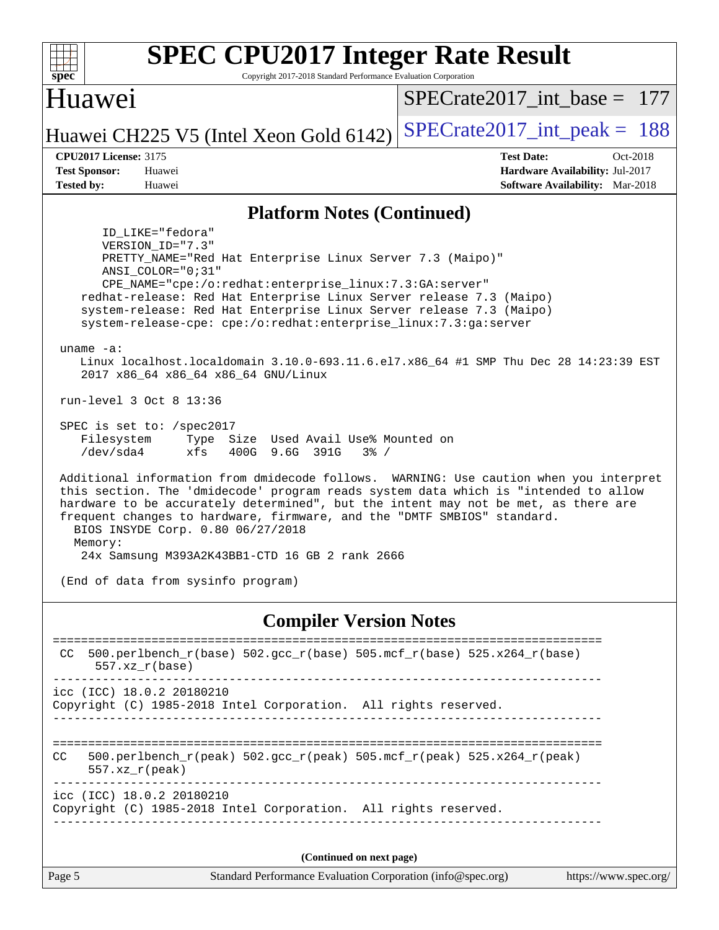| <b>SPEC CPU2017 Integer Rate Result</b><br>Copyright 2017-2018 Standard Performance Evaluation Corporation<br>$spec^*$                                                                                                                                                                                                                                                                                                                                                                                                                                                                                                                                                                                                                                                                                                                                                                                                                                                                                                                                                                                                                                                                                                |                                                                                                            |
|-----------------------------------------------------------------------------------------------------------------------------------------------------------------------------------------------------------------------------------------------------------------------------------------------------------------------------------------------------------------------------------------------------------------------------------------------------------------------------------------------------------------------------------------------------------------------------------------------------------------------------------------------------------------------------------------------------------------------------------------------------------------------------------------------------------------------------------------------------------------------------------------------------------------------------------------------------------------------------------------------------------------------------------------------------------------------------------------------------------------------------------------------------------------------------------------------------------------------|------------------------------------------------------------------------------------------------------------|
| Huawei                                                                                                                                                                                                                                                                                                                                                                                                                                                                                                                                                                                                                                                                                                                                                                                                                                                                                                                                                                                                                                                                                                                                                                                                                | $SPECrate2017$ int base = 177                                                                              |
| Huawei CH225 V5 (Intel Xeon Gold 6142)                                                                                                                                                                                                                                                                                                                                                                                                                                                                                                                                                                                                                                                                                                                                                                                                                                                                                                                                                                                                                                                                                                                                                                                | $SPECrate2017\_int\_peak = 188$                                                                            |
| <b>CPU2017 License: 3175</b><br><b>Test Sponsor:</b><br>Huawei<br><b>Tested by:</b><br>Huawei                                                                                                                                                                                                                                                                                                                                                                                                                                                                                                                                                                                                                                                                                                                                                                                                                                                                                                                                                                                                                                                                                                                         | <b>Test Date:</b><br>Oct-2018<br>Hardware Availability: Jul-2017<br><b>Software Availability:</b> Mar-2018 |
| <b>Platform Notes (Continued)</b>                                                                                                                                                                                                                                                                                                                                                                                                                                                                                                                                                                                                                                                                                                                                                                                                                                                                                                                                                                                                                                                                                                                                                                                     |                                                                                                            |
| ID LIKE="fedora"<br>VERSION ID="7.3"<br>PRETTY_NAME="Red Hat Enterprise Linux Server 7.3 (Maipo)"<br>ANSI COLOR="0;31"<br>CPE_NAME="cpe:/o:redhat:enterprise_linux:7.3:GA:server"<br>redhat-release: Red Hat Enterprise Linux Server release 7.3 (Maipo)<br>system-release: Red Hat Enterprise Linux Server release 7.3 (Maipo)<br>system-release-cpe: cpe:/o:redhat:enterprise_linux:7.3:ga:server<br>uname $-a$ :<br>Linux localhost.localdomain 3.10.0-693.11.6.el7.x86_64 #1 SMP Thu Dec 28 14:23:39 EST<br>2017 x86_64 x86_64 x86_64 GNU/Linux<br>run-level 3 Oct 8 13:36<br>SPEC is set to: /spec2017<br>Filesystem<br>Type Size Used Avail Use% Mounted on<br>400G 9.6G 391G<br>/dev/sda4<br>$3\frac{6}{9}$ /<br>xfs<br>Additional information from dmidecode follows. WARNING: Use caution when you interpret<br>this section. The 'dmidecode' program reads system data which is "intended to allow<br>hardware to be accurately determined", but the intent may not be met, as there are<br>frequent changes to hardware, firmware, and the "DMTF SMBIOS" standard.<br>BIOS INSYDE Corp. 0.80 06/27/2018<br>Memory:<br>24x Samsung M393A2K43BB1-CTD 16 GB 2 rank 2666<br>(End of data from sysinfo program) |                                                                                                            |
| <b>Compiler Version Notes</b>                                                                                                                                                                                                                                                                                                                                                                                                                                                                                                                                                                                                                                                                                                                                                                                                                                                                                                                                                                                                                                                                                                                                                                                         |                                                                                                            |
| 500.perlbench_r(base) 502.gcc_r(base) 505.mcf_r(base) 525.x264_r(base)<br>CC<br>$557. xz_r(base)$                                                                                                                                                                                                                                                                                                                                                                                                                                                                                                                                                                                                                                                                                                                                                                                                                                                                                                                                                                                                                                                                                                                     |                                                                                                            |
| icc (ICC) 18.0.2 20180210<br>Copyright (C) 1985-2018 Intel Corporation. All rights reserved.                                                                                                                                                                                                                                                                                                                                                                                                                                                                                                                                                                                                                                                                                                                                                                                                                                                                                                                                                                                                                                                                                                                          |                                                                                                            |
| 500.perlbench_r(peak) 502.gcc_r(peak) 505.mcf_r(peak) 525.x264_r(peak)<br>CC.<br>$557. xz_r (peak)$                                                                                                                                                                                                                                                                                                                                                                                                                                                                                                                                                                                                                                                                                                                                                                                                                                                                                                                                                                                                                                                                                                                   |                                                                                                            |
| icc (ICC) 18.0.2 20180210<br>Copyright (C) 1985-2018 Intel Corporation. All rights reserved.                                                                                                                                                                                                                                                                                                                                                                                                                                                                                                                                                                                                                                                                                                                                                                                                                                                                                                                                                                                                                                                                                                                          |                                                                                                            |
| (Continued on next page)                                                                                                                                                                                                                                                                                                                                                                                                                                                                                                                                                                                                                                                                                                                                                                                                                                                                                                                                                                                                                                                                                                                                                                                              |                                                                                                            |
| Page 5<br>Standard Performance Evaluation Corporation (info@spec.org)                                                                                                                                                                                                                                                                                                                                                                                                                                                                                                                                                                                                                                                                                                                                                                                                                                                                                                                                                                                                                                                                                                                                                 | https://www.spec.org/                                                                                      |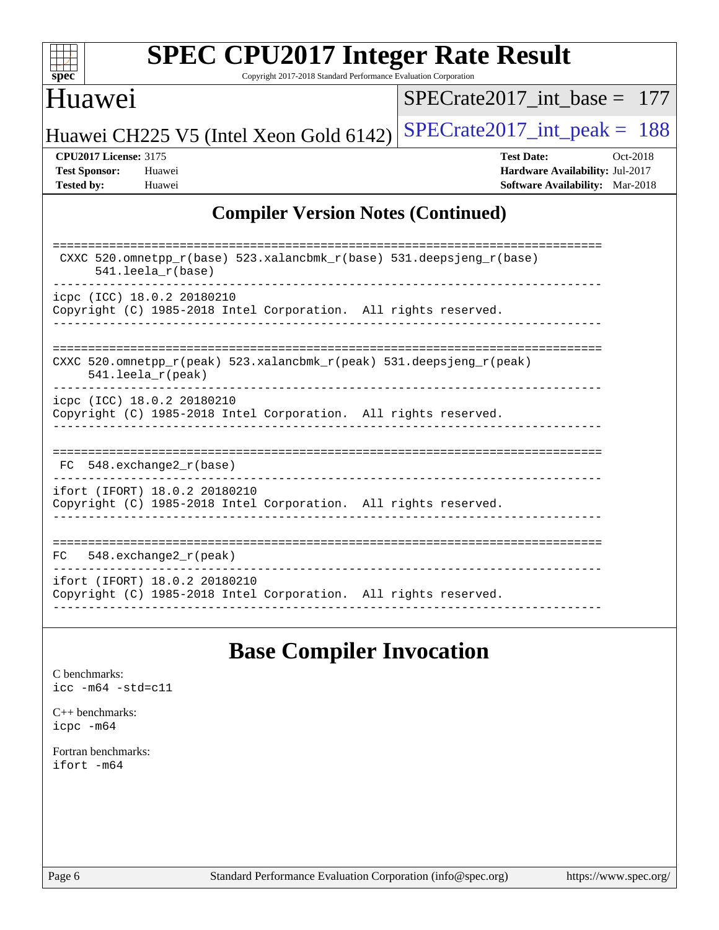

Copyright 2017-2018 Standard Performance Evaluation Corporation

#### Huawei

[SPECrate2017\\_int\\_base =](http://www.spec.org/auto/cpu2017/Docs/result-fields.html#SPECrate2017intbase) 177

Huawei CH225 V5 (Intel Xeon Gold 6142) SPECrate  $2017$ \_int\_peak = 188

**[CPU2017 License:](http://www.spec.org/auto/cpu2017/Docs/result-fields.html#CPU2017License)** 3175 **[Test Date:](http://www.spec.org/auto/cpu2017/Docs/result-fields.html#TestDate)** Oct-2018 **[Test Sponsor:](http://www.spec.org/auto/cpu2017/Docs/result-fields.html#TestSponsor)** Huawei **[Hardware Availability:](http://www.spec.org/auto/cpu2017/Docs/result-fields.html#HardwareAvailability)** Jul-2017 **[Tested by:](http://www.spec.org/auto/cpu2017/Docs/result-fields.html#Testedby)** Huawei **[Software Availability:](http://www.spec.org/auto/cpu2017/Docs/result-fields.html#SoftwareAvailability)** Mar-2018

#### **[Compiler Version Notes \(Continued\)](http://www.spec.org/auto/cpu2017/Docs/result-fields.html#CompilerVersionNotes)**

| CXXC 520.omnetpp $r(base)$ 523.xalancbmk $r(base)$ 531.deepsjeng $r(base)$<br>$541.$ leela $r(base)$ |
|------------------------------------------------------------------------------------------------------|
| icpc (ICC) 18.0.2 20180210                                                                           |
| Copyright (C) 1985-2018 Intel Corporation. All rights reserved.                                      |
|                                                                                                      |
| CXXC 520 omnetpp $r(\text{peak})$ 523 xalancbmk $r(\text{peak})$ 531 deepsjeng $r(\text{peak})$      |
| $541.$ leela $r$ (peak)                                                                              |
| icpc (ICC) 18.0.2 20180210                                                                           |
| Copyright (C) 1985-2018 Intel Corporation. All rights reserved.                                      |
|                                                                                                      |
|                                                                                                      |
| 548.exchange2 r(base)<br>FC.                                                                         |
| ifort (IFORT) 18.0.2 20180210                                                                        |
| Copyright (C) 1985-2018 Intel Corporation. All rights reserved.                                      |
|                                                                                                      |
|                                                                                                      |
| 548. $exchange2 r (peak)$<br>FC.                                                                     |
| ifort (IFORT) 18.0.2 20180210                                                                        |
| Copyright (C) 1985-2018 Intel Corporation. All rights reserved.                                      |
|                                                                                                      |

# **[Base Compiler Invocation](http://www.spec.org/auto/cpu2017/Docs/result-fields.html#BaseCompilerInvocation)**

[C benchmarks](http://www.spec.org/auto/cpu2017/Docs/result-fields.html#Cbenchmarks): [icc -m64 -std=c11](http://www.spec.org/cpu2017/results/res2018q4/cpu2017-20181010-09137.flags.html#user_CCbase_intel_icc_64bit_c11_33ee0cdaae7deeeab2a9725423ba97205ce30f63b9926c2519791662299b76a0318f32ddfffdc46587804de3178b4f9328c46fa7c2b0cd779d7a61945c91cd35)

[C++ benchmarks:](http://www.spec.org/auto/cpu2017/Docs/result-fields.html#CXXbenchmarks) [icpc -m64](http://www.spec.org/cpu2017/results/res2018q4/cpu2017-20181010-09137.flags.html#user_CXXbase_intel_icpc_64bit_4ecb2543ae3f1412ef961e0650ca070fec7b7afdcd6ed48761b84423119d1bf6bdf5cad15b44d48e7256388bc77273b966e5eb805aefd121eb22e9299b2ec9d9)

[Fortran benchmarks](http://www.spec.org/auto/cpu2017/Docs/result-fields.html#Fortranbenchmarks): [ifort -m64](http://www.spec.org/cpu2017/results/res2018q4/cpu2017-20181010-09137.flags.html#user_FCbase_intel_ifort_64bit_24f2bb282fbaeffd6157abe4f878425411749daecae9a33200eee2bee2fe76f3b89351d69a8130dd5949958ce389cf37ff59a95e7a40d588e8d3a57e0c3fd751)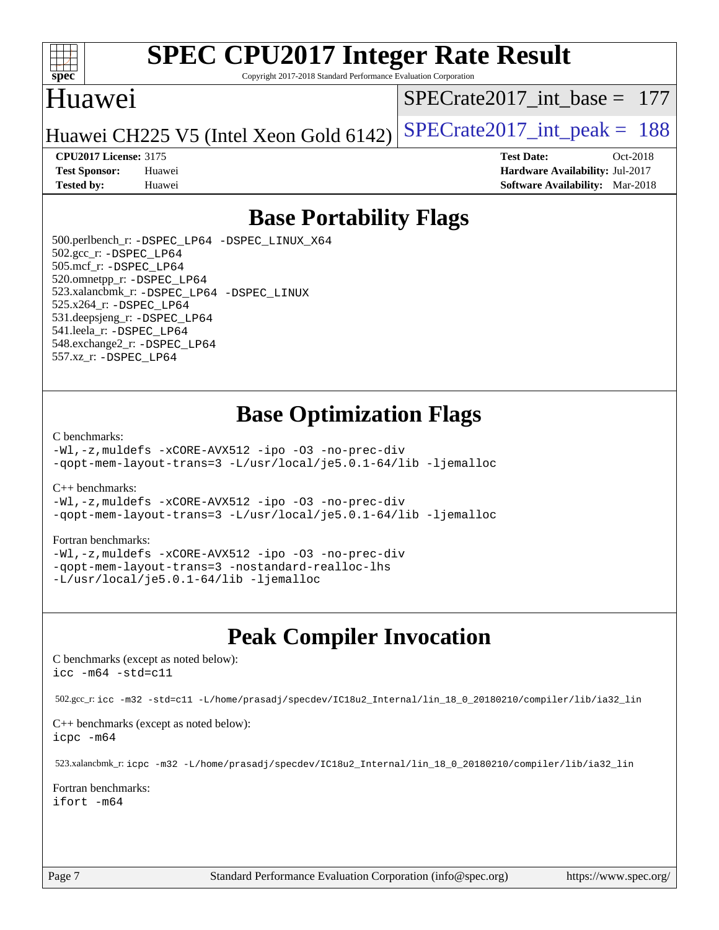

Copyright 2017-2018 Standard Performance Evaluation Corporation

### Huawei

[SPECrate2017\\_int\\_base =](http://www.spec.org/auto/cpu2017/Docs/result-fields.html#SPECrate2017intbase) 177

Huawei CH225 V5 (Intel Xeon Gold  $6142$ ) [SPECrate2017\\_int\\_peak =](http://www.spec.org/auto/cpu2017/Docs/result-fields.html#SPECrate2017intpeak) 188

#### **[CPU2017 License:](http://www.spec.org/auto/cpu2017/Docs/result-fields.html#CPU2017License)** 3175 **[Test Date:](http://www.spec.org/auto/cpu2017/Docs/result-fields.html#TestDate)** Oct-2018

**[Test Sponsor:](http://www.spec.org/auto/cpu2017/Docs/result-fields.html#TestSponsor)** Huawei **[Hardware Availability:](http://www.spec.org/auto/cpu2017/Docs/result-fields.html#HardwareAvailability)** Jul-2017 **[Tested by:](http://www.spec.org/auto/cpu2017/Docs/result-fields.html#Testedby)** Huawei **[Software Availability:](http://www.spec.org/auto/cpu2017/Docs/result-fields.html#SoftwareAvailability)** Mar-2018

## **[Base Portability Flags](http://www.spec.org/auto/cpu2017/Docs/result-fields.html#BasePortabilityFlags)**

 500.perlbench\_r: [-DSPEC\\_LP64](http://www.spec.org/cpu2017/results/res2018q4/cpu2017-20181010-09137.flags.html#b500.perlbench_r_basePORTABILITY_DSPEC_LP64) [-DSPEC\\_LINUX\\_X64](http://www.spec.org/cpu2017/results/res2018q4/cpu2017-20181010-09137.flags.html#b500.perlbench_r_baseCPORTABILITY_DSPEC_LINUX_X64) 502.gcc\_r: [-DSPEC\\_LP64](http://www.spec.org/cpu2017/results/res2018q4/cpu2017-20181010-09137.flags.html#suite_basePORTABILITY502_gcc_r_DSPEC_LP64) 505.mcf\_r: [-DSPEC\\_LP64](http://www.spec.org/cpu2017/results/res2018q4/cpu2017-20181010-09137.flags.html#suite_basePORTABILITY505_mcf_r_DSPEC_LP64) 520.omnetpp\_r: [-DSPEC\\_LP64](http://www.spec.org/cpu2017/results/res2018q4/cpu2017-20181010-09137.flags.html#suite_basePORTABILITY520_omnetpp_r_DSPEC_LP64) 523.xalancbmk\_r: [-DSPEC\\_LP64](http://www.spec.org/cpu2017/results/res2018q4/cpu2017-20181010-09137.flags.html#suite_basePORTABILITY523_xalancbmk_r_DSPEC_LP64) [-DSPEC\\_LINUX](http://www.spec.org/cpu2017/results/res2018q4/cpu2017-20181010-09137.flags.html#b523.xalancbmk_r_baseCXXPORTABILITY_DSPEC_LINUX) 525.x264\_r: [-DSPEC\\_LP64](http://www.spec.org/cpu2017/results/res2018q4/cpu2017-20181010-09137.flags.html#suite_basePORTABILITY525_x264_r_DSPEC_LP64) 531.deepsjeng\_r: [-DSPEC\\_LP64](http://www.spec.org/cpu2017/results/res2018q4/cpu2017-20181010-09137.flags.html#suite_basePORTABILITY531_deepsjeng_r_DSPEC_LP64) 541.leela\_r: [-DSPEC\\_LP64](http://www.spec.org/cpu2017/results/res2018q4/cpu2017-20181010-09137.flags.html#suite_basePORTABILITY541_leela_r_DSPEC_LP64) 548.exchange2\_r: [-DSPEC\\_LP64](http://www.spec.org/cpu2017/results/res2018q4/cpu2017-20181010-09137.flags.html#suite_basePORTABILITY548_exchange2_r_DSPEC_LP64) 557.xz\_r: [-DSPEC\\_LP64](http://www.spec.org/cpu2017/results/res2018q4/cpu2017-20181010-09137.flags.html#suite_basePORTABILITY557_xz_r_DSPEC_LP64)

## **[Base Optimization Flags](http://www.spec.org/auto/cpu2017/Docs/result-fields.html#BaseOptimizationFlags)**

#### [C benchmarks](http://www.spec.org/auto/cpu2017/Docs/result-fields.html#Cbenchmarks):

[-Wl,-z,muldefs](http://www.spec.org/cpu2017/results/res2018q4/cpu2017-20181010-09137.flags.html#user_CCbase_link_force_multiple1_b4cbdb97b34bdee9ceefcfe54f4c8ea74255f0b02a4b23e853cdb0e18eb4525ac79b5a88067c842dd0ee6996c24547a27a4b99331201badda8798ef8a743f577) [-xCORE-AVX512](http://www.spec.org/cpu2017/results/res2018q4/cpu2017-20181010-09137.flags.html#user_CCbase_f-xCORE-AVX512) [-ipo](http://www.spec.org/cpu2017/results/res2018q4/cpu2017-20181010-09137.flags.html#user_CCbase_f-ipo) [-O3](http://www.spec.org/cpu2017/results/res2018q4/cpu2017-20181010-09137.flags.html#user_CCbase_f-O3) [-no-prec-div](http://www.spec.org/cpu2017/results/res2018q4/cpu2017-20181010-09137.flags.html#user_CCbase_f-no-prec-div) [-qopt-mem-layout-trans=3](http://www.spec.org/cpu2017/results/res2018q4/cpu2017-20181010-09137.flags.html#user_CCbase_f-qopt-mem-layout-trans_de80db37974c74b1f0e20d883f0b675c88c3b01e9d123adea9b28688d64333345fb62bc4a798493513fdb68f60282f9a726aa07f478b2f7113531aecce732043) [-L/usr/local/je5.0.1-64/lib](http://www.spec.org/cpu2017/results/res2018q4/cpu2017-20181010-09137.flags.html#user_CCbase_jemalloc_link_path64_4b10a636b7bce113509b17f3bd0d6226c5fb2346b9178c2d0232c14f04ab830f976640479e5c33dc2bcbbdad86ecfb6634cbbd4418746f06f368b512fced5394) [-ljemalloc](http://www.spec.org/cpu2017/results/res2018q4/cpu2017-20181010-09137.flags.html#user_CCbase_jemalloc_link_lib_d1249b907c500fa1c0672f44f562e3d0f79738ae9e3c4a9c376d49f265a04b9c99b167ecedbf6711b3085be911c67ff61f150a17b3472be731631ba4d0471706)

[C++ benchmarks:](http://www.spec.org/auto/cpu2017/Docs/result-fields.html#CXXbenchmarks)

[-Wl,-z,muldefs](http://www.spec.org/cpu2017/results/res2018q4/cpu2017-20181010-09137.flags.html#user_CXXbase_link_force_multiple1_b4cbdb97b34bdee9ceefcfe54f4c8ea74255f0b02a4b23e853cdb0e18eb4525ac79b5a88067c842dd0ee6996c24547a27a4b99331201badda8798ef8a743f577) [-xCORE-AVX512](http://www.spec.org/cpu2017/results/res2018q4/cpu2017-20181010-09137.flags.html#user_CXXbase_f-xCORE-AVX512) [-ipo](http://www.spec.org/cpu2017/results/res2018q4/cpu2017-20181010-09137.flags.html#user_CXXbase_f-ipo) [-O3](http://www.spec.org/cpu2017/results/res2018q4/cpu2017-20181010-09137.flags.html#user_CXXbase_f-O3) [-no-prec-div](http://www.spec.org/cpu2017/results/res2018q4/cpu2017-20181010-09137.flags.html#user_CXXbase_f-no-prec-div) [-qopt-mem-layout-trans=3](http://www.spec.org/cpu2017/results/res2018q4/cpu2017-20181010-09137.flags.html#user_CXXbase_f-qopt-mem-layout-trans_de80db37974c74b1f0e20d883f0b675c88c3b01e9d123adea9b28688d64333345fb62bc4a798493513fdb68f60282f9a726aa07f478b2f7113531aecce732043) [-L/usr/local/je5.0.1-64/lib](http://www.spec.org/cpu2017/results/res2018q4/cpu2017-20181010-09137.flags.html#user_CXXbase_jemalloc_link_path64_4b10a636b7bce113509b17f3bd0d6226c5fb2346b9178c2d0232c14f04ab830f976640479e5c33dc2bcbbdad86ecfb6634cbbd4418746f06f368b512fced5394) [-ljemalloc](http://www.spec.org/cpu2017/results/res2018q4/cpu2017-20181010-09137.flags.html#user_CXXbase_jemalloc_link_lib_d1249b907c500fa1c0672f44f562e3d0f79738ae9e3c4a9c376d49f265a04b9c99b167ecedbf6711b3085be911c67ff61f150a17b3472be731631ba4d0471706)

#### [Fortran benchmarks](http://www.spec.org/auto/cpu2017/Docs/result-fields.html#Fortranbenchmarks):

[-Wl,-z,muldefs](http://www.spec.org/cpu2017/results/res2018q4/cpu2017-20181010-09137.flags.html#user_FCbase_link_force_multiple1_b4cbdb97b34bdee9ceefcfe54f4c8ea74255f0b02a4b23e853cdb0e18eb4525ac79b5a88067c842dd0ee6996c24547a27a4b99331201badda8798ef8a743f577) [-xCORE-AVX512](http://www.spec.org/cpu2017/results/res2018q4/cpu2017-20181010-09137.flags.html#user_FCbase_f-xCORE-AVX512) [-ipo](http://www.spec.org/cpu2017/results/res2018q4/cpu2017-20181010-09137.flags.html#user_FCbase_f-ipo) [-O3](http://www.spec.org/cpu2017/results/res2018q4/cpu2017-20181010-09137.flags.html#user_FCbase_f-O3) [-no-prec-div](http://www.spec.org/cpu2017/results/res2018q4/cpu2017-20181010-09137.flags.html#user_FCbase_f-no-prec-div) [-qopt-mem-layout-trans=3](http://www.spec.org/cpu2017/results/res2018q4/cpu2017-20181010-09137.flags.html#user_FCbase_f-qopt-mem-layout-trans_de80db37974c74b1f0e20d883f0b675c88c3b01e9d123adea9b28688d64333345fb62bc4a798493513fdb68f60282f9a726aa07f478b2f7113531aecce732043) [-nostandard-realloc-lhs](http://www.spec.org/cpu2017/results/res2018q4/cpu2017-20181010-09137.flags.html#user_FCbase_f_2003_std_realloc_82b4557e90729c0f113870c07e44d33d6f5a304b4f63d4c15d2d0f1fab99f5daaed73bdb9275d9ae411527f28b936061aa8b9c8f2d63842963b95c9dd6426b8a) [-L/usr/local/je5.0.1-64/lib](http://www.spec.org/cpu2017/results/res2018q4/cpu2017-20181010-09137.flags.html#user_FCbase_jemalloc_link_path64_4b10a636b7bce113509b17f3bd0d6226c5fb2346b9178c2d0232c14f04ab830f976640479e5c33dc2bcbbdad86ecfb6634cbbd4418746f06f368b512fced5394) [-ljemalloc](http://www.spec.org/cpu2017/results/res2018q4/cpu2017-20181010-09137.flags.html#user_FCbase_jemalloc_link_lib_d1249b907c500fa1c0672f44f562e3d0f79738ae9e3c4a9c376d49f265a04b9c99b167ecedbf6711b3085be911c67ff61f150a17b3472be731631ba4d0471706)

# **[Peak Compiler Invocation](http://www.spec.org/auto/cpu2017/Docs/result-fields.html#PeakCompilerInvocation)**

[C benchmarks \(except as noted below\)](http://www.spec.org/auto/cpu2017/Docs/result-fields.html#Cbenchmarksexceptasnotedbelow): [icc -m64 -std=c11](http://www.spec.org/cpu2017/results/res2018q4/cpu2017-20181010-09137.flags.html#user_CCpeak_intel_icc_64bit_c11_33ee0cdaae7deeeab2a9725423ba97205ce30f63b9926c2519791662299b76a0318f32ddfffdc46587804de3178b4f9328c46fa7c2b0cd779d7a61945c91cd35)

502.gcc\_r: [icc -m32 -std=c11 -L/home/prasadj/specdev/IC18u2\\_Internal/lin\\_18\\_0\\_20180210/compiler/lib/ia32\\_lin](http://www.spec.org/cpu2017/results/res2018q4/cpu2017-20181010-09137.flags.html#user_peakCCLD502_gcc_r_intel_icc_a481ac844e7127046fad14d498c730a1848fa901fbbb2c3dfdd5e9fbbac777c8009953946d55d8b6afe8ed0da70dd2b4f8dedbdf7ab1ee211ba70d24a5d89f85)

[C++ benchmarks \(except as noted below\):](http://www.spec.org/auto/cpu2017/Docs/result-fields.html#CXXbenchmarksexceptasnotedbelow) [icpc -m64](http://www.spec.org/cpu2017/results/res2018q4/cpu2017-20181010-09137.flags.html#user_CXXpeak_intel_icpc_64bit_4ecb2543ae3f1412ef961e0650ca070fec7b7afdcd6ed48761b84423119d1bf6bdf5cad15b44d48e7256388bc77273b966e5eb805aefd121eb22e9299b2ec9d9)

523.xalancbmk\_r: [icpc -m32 -L/home/prasadj/specdev/IC18u2\\_Internal/lin\\_18\\_0\\_20180210/compiler/lib/ia32\\_lin](http://www.spec.org/cpu2017/results/res2018q4/cpu2017-20181010-09137.flags.html#user_peakCXXLD523_xalancbmk_r_intel_icpc_c6d030cd79af6ea7d6fb64c57e8fe7ae8fe0b96fc5a3b3f4a10e3273b3d7fa9decd8263f6330cef23f751cb093a69fae84a2bf4c243500a8eed069248128076f)

[Fortran benchmarks](http://www.spec.org/auto/cpu2017/Docs/result-fields.html#Fortranbenchmarks): [ifort -m64](http://www.spec.org/cpu2017/results/res2018q4/cpu2017-20181010-09137.flags.html#user_FCpeak_intel_ifort_64bit_24f2bb282fbaeffd6157abe4f878425411749daecae9a33200eee2bee2fe76f3b89351d69a8130dd5949958ce389cf37ff59a95e7a40d588e8d3a57e0c3fd751)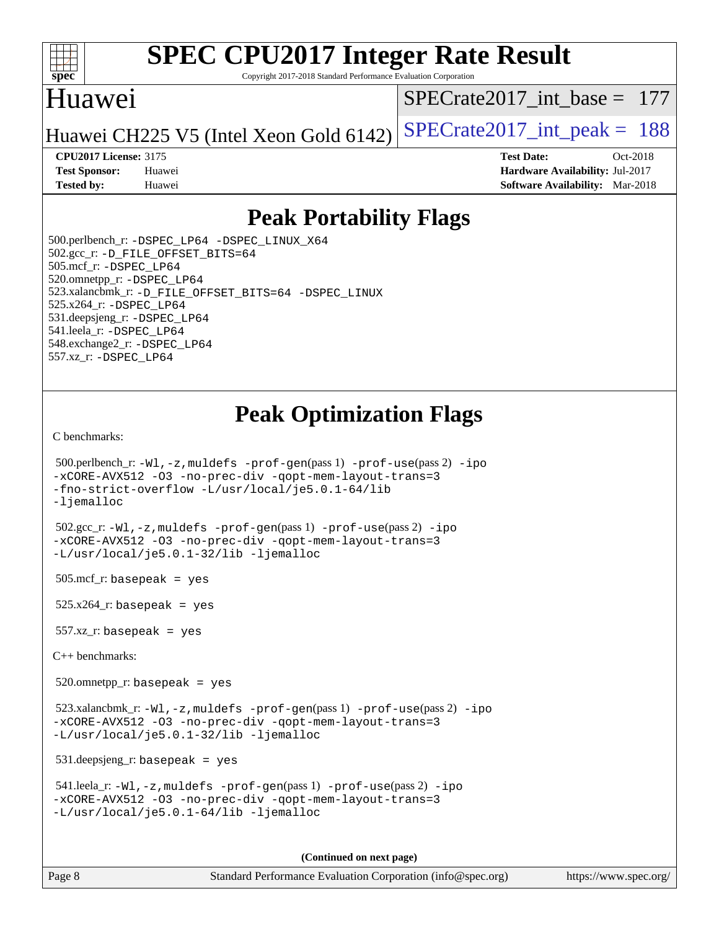

Copyright 2017-2018 Standard Performance Evaluation Corporation

### Huawei

[SPECrate2017\\_int\\_base =](http://www.spec.org/auto/cpu2017/Docs/result-fields.html#SPECrate2017intbase) 177

Huawei CH225 V5 (Intel Xeon Gold  $6142$ ) [SPECrate2017\\_int\\_peak =](http://www.spec.org/auto/cpu2017/Docs/result-fields.html#SPECrate2017intpeak) 188

**[Tested by:](http://www.spec.org/auto/cpu2017/Docs/result-fields.html#Testedby)** Huawei **[Software Availability:](http://www.spec.org/auto/cpu2017/Docs/result-fields.html#SoftwareAvailability)** Mar-2018

**[CPU2017 License:](http://www.spec.org/auto/cpu2017/Docs/result-fields.html#CPU2017License)** 3175 **[Test Date:](http://www.spec.org/auto/cpu2017/Docs/result-fields.html#TestDate)** Oct-2018 **[Test Sponsor:](http://www.spec.org/auto/cpu2017/Docs/result-fields.html#TestSponsor)** Huawei **[Hardware Availability:](http://www.spec.org/auto/cpu2017/Docs/result-fields.html#HardwareAvailability)** Jul-2017

# **[Peak Portability Flags](http://www.spec.org/auto/cpu2017/Docs/result-fields.html#PeakPortabilityFlags)**

 500.perlbench\_r: [-DSPEC\\_LP64](http://www.spec.org/cpu2017/results/res2018q4/cpu2017-20181010-09137.flags.html#b500.perlbench_r_peakPORTABILITY_DSPEC_LP64) [-DSPEC\\_LINUX\\_X64](http://www.spec.org/cpu2017/results/res2018q4/cpu2017-20181010-09137.flags.html#b500.perlbench_r_peakCPORTABILITY_DSPEC_LINUX_X64) 502.gcc\_r: [-D\\_FILE\\_OFFSET\\_BITS=64](http://www.spec.org/cpu2017/results/res2018q4/cpu2017-20181010-09137.flags.html#user_peakPORTABILITY502_gcc_r_file_offset_bits_64_5ae949a99b284ddf4e95728d47cb0843d81b2eb0e18bdfe74bbf0f61d0b064f4bda2f10ea5eb90e1dcab0e84dbc592acfc5018bc955c18609f94ddb8d550002c) 505.mcf\_r: [-DSPEC\\_LP64](http://www.spec.org/cpu2017/results/res2018q4/cpu2017-20181010-09137.flags.html#suite_peakPORTABILITY505_mcf_r_DSPEC_LP64) 520.omnetpp\_r: [-DSPEC\\_LP64](http://www.spec.org/cpu2017/results/res2018q4/cpu2017-20181010-09137.flags.html#suite_peakPORTABILITY520_omnetpp_r_DSPEC_LP64) 523.xalancbmk\_r: [-D\\_FILE\\_OFFSET\\_BITS=64](http://www.spec.org/cpu2017/results/res2018q4/cpu2017-20181010-09137.flags.html#user_peakPORTABILITY523_xalancbmk_r_file_offset_bits_64_5ae949a99b284ddf4e95728d47cb0843d81b2eb0e18bdfe74bbf0f61d0b064f4bda2f10ea5eb90e1dcab0e84dbc592acfc5018bc955c18609f94ddb8d550002c) [-DSPEC\\_LINUX](http://www.spec.org/cpu2017/results/res2018q4/cpu2017-20181010-09137.flags.html#b523.xalancbmk_r_peakCXXPORTABILITY_DSPEC_LINUX) 525.x264\_r: [-DSPEC\\_LP64](http://www.spec.org/cpu2017/results/res2018q4/cpu2017-20181010-09137.flags.html#suite_peakPORTABILITY525_x264_r_DSPEC_LP64) 531.deepsjeng\_r: [-DSPEC\\_LP64](http://www.spec.org/cpu2017/results/res2018q4/cpu2017-20181010-09137.flags.html#suite_peakPORTABILITY531_deepsjeng_r_DSPEC_LP64) 541.leela\_r: [-DSPEC\\_LP64](http://www.spec.org/cpu2017/results/res2018q4/cpu2017-20181010-09137.flags.html#suite_peakPORTABILITY541_leela_r_DSPEC_LP64) 548.exchange2\_r: [-DSPEC\\_LP64](http://www.spec.org/cpu2017/results/res2018q4/cpu2017-20181010-09137.flags.html#suite_peakPORTABILITY548_exchange2_r_DSPEC_LP64) 557.xz\_r: [-DSPEC\\_LP64](http://www.spec.org/cpu2017/results/res2018q4/cpu2017-20181010-09137.flags.html#suite_peakPORTABILITY557_xz_r_DSPEC_LP64)

# **[Peak Optimization Flags](http://www.spec.org/auto/cpu2017/Docs/result-fields.html#PeakOptimizationFlags)**

[C benchmarks](http://www.spec.org/auto/cpu2017/Docs/result-fields.html#Cbenchmarks):

```
 500.perlbench_r: -Wl,-z,muldefs -prof-gen(pass 1) -prof-use(pass 2) -ipo
-xCORE-AVX512 -O3 -no-prec-div -qopt-mem-layout-trans=3
-fno-strict-overflow -L/usr/local/je5.0.1-64/lib
-ljemalloc
 502.gcc_r: -Wl,-z,muldefs -prof-gen(pass 1) -prof-use(pass 2) -ipo
-xCORE-AVX512 -O3 -no-prec-div -qopt-mem-layout-trans=3
-L/usr/local/je5.0.1-32/lib -ljemalloc
505.\text{mcf}_r: basepeak = yes
525.x264_r: basepeak = yes
557.xz r: basepeak = yes
C++ benchmarks: 
 520.omnetpp_r: basepeak = yes
 523.xalancbmk_r: -Wl,-z,muldefs -prof-gen(pass 1) -prof-use(pass 2) -ipo
-xCORE-AVX512 -O3 -no-prec-div -qopt-mem-layout-trans=3
-L/usr/local/je5.0.1-32/lib -ljemalloc
 531.deepsjeng_r: basepeak = yes
 541.leela_r: -Wl,-z,muldefs -prof-gen(pass 1) -prof-use(pass 2) -ipo
-xCORE-AVX512 -O3 -no-prec-div -qopt-mem-layout-trans=3
-L/usr/local/je5.0.1-64/lib -ljemalloc
                                       (Continued on next page)
```